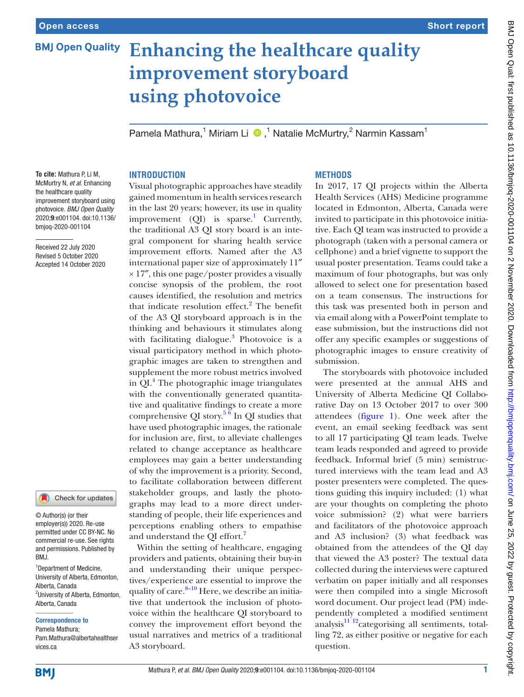# **BMJ Open Quality Enhancing the healthcare quality improvement storyboard using photovoice**

Pamela Mathura,<sup>1</sup> Miriam Li (D,<sup>1</sup> Natalie McMurtry,<sup>2</sup> Narmin Kassam<sup>1</sup>

# **INTRODUCTION**

McMurtry N, *et al*. Enhancing the healthcare quality improvement storyboard using photovoice. *BMJ Open Quality* 2020;9:e001104. doi:10.1136/ bmjoq-2020-001104

Received 22 July 2020 Revised 5 October 2020 Accepted 14 October 2020

**To cite:** Mathura P, Li M,



© Author(s) (or their employer(s)) 2020. Re-use permitted under CC BY-NC. No commercial re-use. See rights and permissions. Published by BMJ.

<sup>1</sup>Department of Medicine, University of Alberta, Edmonton, Alberta, Canada <sup>2</sup>University of Alberta, Edmonton, Alberta, Canada

#### Correspondence to

Pamela Mathura; Pam.Mathura@albertahealthser vices.ca

Visual photographic approaches have steadily gained momentum in health services research in the last 20 years; however, its use in quality improvement  $(QI)$  is sparse.<sup>[1](#page-2-0)</sup> Currently, the traditional A3 QI story board is an integral component for sharing health service improvement efforts. Named after the A3 international paper size of approximately 11″  $\times$  17", this one page/poster provides a visually concise synopsis of the problem, the root causes identified, the resolution and metrics that indicate resolution effect.<sup>2</sup> The benefit of the A3 QI storyboard approach is in the thinking and behaviours it stimulates along with facilitating dialogue.<sup>3</sup> Photovoice is a visual participatory method in which photographic images are taken to strengthen and supplement the more robust metrics involved in QI.<sup>[4](#page-2-3)</sup> The photographic image triangulates with the conventionally generated quantitative and qualitative findings to create a more comprehensive QI story.<sup>5 6</sup> In QI studies that have used photographic images, the rationale for inclusion are, first, to alleviate challenges related to change acceptance as healthcare employees may gain a better understanding of why the improvement is a priority. Second, to facilitate collaboration between different stakeholder groups, and lastly the photographs may lead to a more direct understanding of people, their life experiences and perceptions enabling others to empathise and understand the QI effort.<sup>[7](#page-2-5)</sup>

Within the setting of healthcare, engaging providers and patients, obtaining their buy-in and understanding their unique perspectives/experience are essential to improve the quality of care. $8-10$  Here, we describe an initiative that undertook the inclusion of photovoice within the healthcare QI storyboard to convey the improvement effort beyond the usual narratives and metrics of a traditional A3 storyboard.

## **METHODS**

In 2017, 17 QI projects within the Alberta Health Services (AHS) Medicine programme located in Edmonton, Alberta, Canada were invited to participate in this photovoice initiative. Each QI team was instructed to provide a photograph (taken with a personal camera or cellphone) and a brief vignette to support the usual poster presentation. Teams could take a maximum of four photographs, but was only allowed to select one for presentation based on a team consensus. The instructions for this task was presented both in person and via email along with a PowerPoint template to ease submission, but the instructions did not offer any specific examples or suggestions of photographic images to ensure creativity of submission.

The storyboards with photovoice included were presented at the annual AHS and University of Alberta Medicine QI Collaborative Day on 13 October 2017 to over 300 attendees ([figure](#page-1-0) 1). One week after the event, an email seeking feedback was sent to all 17 participating QI team leads. Twelve team leads responded and agreed to provide feedback. Informal brief (5 min) semistructured interviews with the team lead and A3 poster presenters were completed. The questions guiding this inquiry included: (1) what are your thoughts on completing the photo voice submission? (2) what were barriers and facilitators of the photovoice approach and A3 inclusion? (3) what feedback was obtained from the attendees of the QI day that viewed the A3 poster? The textual data collected during the interviews were captured verbatim on paper initially and all responses were then compiled into a single Microsoft word document. Our project lead (PM) independently completed a modified sentiment analysis $11^{12}$ categorising all sentiments, totalling 72, as either positive or negative for each question.

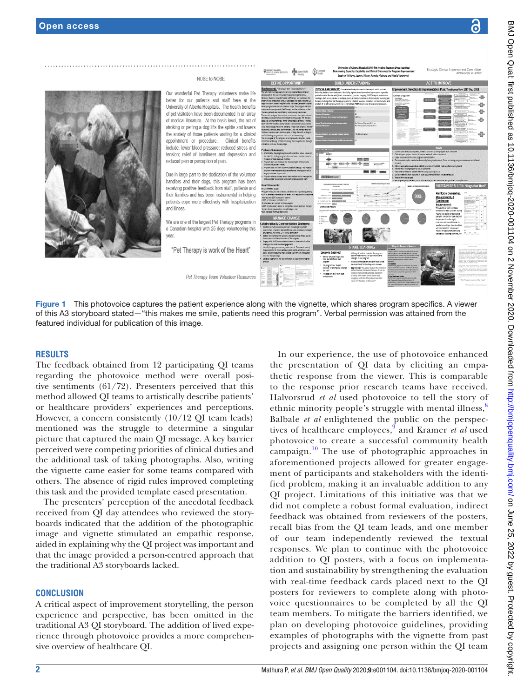

<span id="page-1-0"></span>Figure 1 This photovoice captures the patient experience along with the vignette, which shares program specifics. A viewer of this A3 storyboard stated—"this makes me smile, patients need this program". Verbal permission was attained from the featured individual for publication of this image.

#### **RESULTS**

The feedback obtained from 12 participating QI teams regarding the photovoice method were overall positive sentiments (61/72). Presenters perceived that this method allowed QI teams to artistically describe patients' or healthcare providers' experiences and perceptions. However, a concern consistently (10/12 QI team leads) mentioned was the struggle to determine a singular picture that captured the main QI message. A key barrier perceived were competing priorities of clinical duties and the additional task of taking photographs. Also, writing the vignette came easier for some teams compared with others. The absence of rigid rules improved completing this task and the provided template eased presentation.

The presenters' perception of the anecdotal feedback received from QI day attendees who reviewed the storyboards indicated that the addition of the photographic image and vignette stimulated an empathic response, aided in explaining why the QI project was important and that the image provided a person-centred approach that the traditional A3 storyboards lacked.

### **CONCLUSION**

A critical aspect of improvement storytelling, the person experience and perspective, has been omitted in the traditional A3 QI storyboard. The addition of lived experience through photovoice provides a more comprehensive overview of healthcare QI.

In our experience, the use of photovoice enhanced the presentation of QI data by eliciting an empathetic response from the viewer. This is comparable to the response prior research teams have received. Halvorsrud *et al* used photovoice to tell the story of ethnic minority people's struggle with mental illness,<sup>[8](#page-2-6)</sup> Balbale *et al* enlightened the public on the perspec-tives of healthcare employees,<sup>[9](#page-2-8)</sup> and Kramer *et al* used photovoice to create a successful community health campaign.<sup>10</sup> The use of photographic approaches in aforementioned projects allowed for greater engagement of participants and stakeholders with the identified problem, making it an invaluable addition to any QI project. Limitations of this initiative was that we did not complete a robust formal evaluation, indirect feedback was obtained from reviewers of the posters, recall bias from the QI team leads, and one member of our team independently reviewed the textual responses. We plan to continue with the photovoice addition to QI posters, with a focus on implementation and sustainability by strengthening the evaluation with real-time feedback cards placed next to the QI posters for reviewers to complete along with photovoice questionnaires to be completed by all the QI team members. To mitigate the barriers identified, we plan on developing photovoice guidelines, providing examples of photographs with the vignette from past projects and assigning one person within the QI team